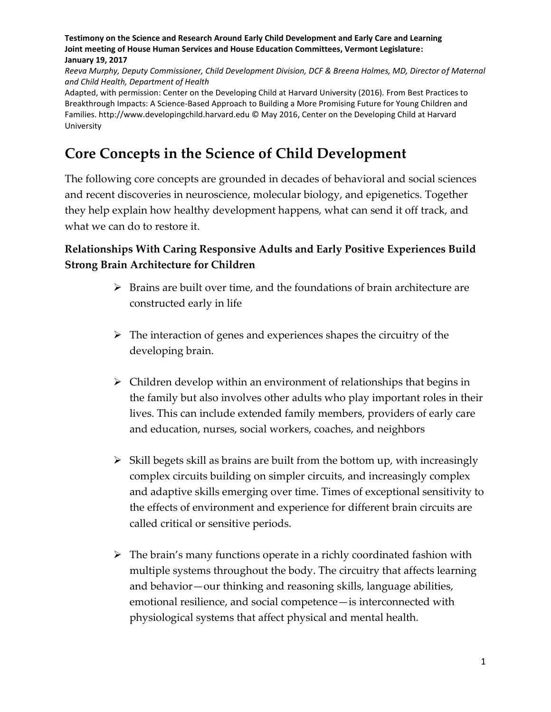*Reeva Murphy, Deputy Commissioner, Child Development Division, DCF & Breena Holmes, MD, Director of Maternal and Child Health, Department of Health*

Adapted, with permission: Center on the Developing Child at Harvard University (2016). From Best Practices to Breakthrough Impacts: A Science-Based Approach to Building a More Promising Future for Young Children and Families. http://www.developingchild.harvard.edu © May 2016, Center on the Developing Child at Harvard University

# **Core Concepts in the Science of Child Development**

The following core concepts are grounded in decades of behavioral and social sciences and recent discoveries in neuroscience, molecular biology, and epigenetics. Together they help explain how healthy development happens, what can send it off track, and what we can do to restore it.

## **Relationships With Caring Responsive Adults and Early Positive Experiences Build Strong Brain Architecture for Children**

- $\triangleright$  Brains are built over time, and the foundations of brain architecture are constructed early in life
- $\triangleright$  The interaction of genes and experiences shapes the circuitry of the developing brain.
- $\triangleright$  Children develop within an environment of relationships that begins in the family but also involves other adults who play important roles in their lives. This can include extended family members, providers of early care and education, nurses, social workers, coaches, and neighbors
- $\triangleright$  Skill begets skill as brains are built from the bottom up, with increasingly complex circuits building on simpler circuits, and increasingly complex and adaptive skills emerging over time. Times of exceptional sensitivity to the effects of environment and experience for different brain circuits are called critical or sensitive periods.
- $\triangleright$  The brain's many functions operate in a richly coordinated fashion with multiple systems throughout the body. The circuitry that affects learning and behavior—our thinking and reasoning skills, language abilities, emotional resilience, and social competence—is interconnected with physiological systems that affect physical and mental health.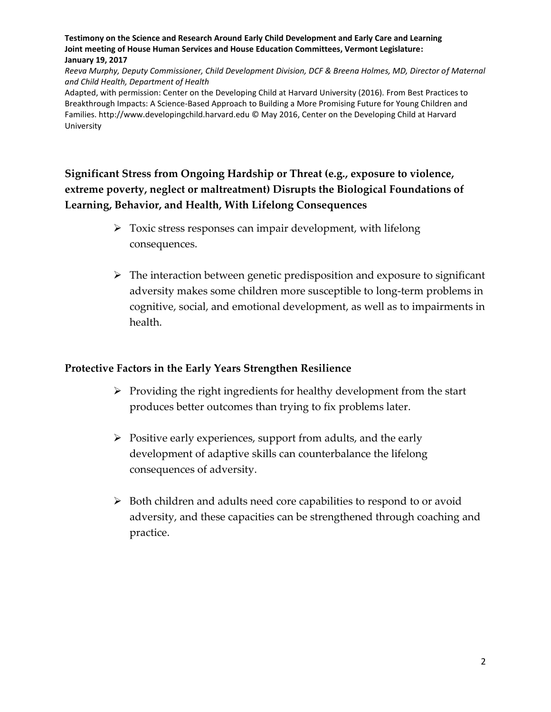*Reeva Murphy, Deputy Commissioner, Child Development Division, DCF & Breena Holmes, MD, Director of Maternal and Child Health, Department of Health*

Adapted, with permission: Center on the Developing Child at Harvard University (2016). From Best Practices to Breakthrough Impacts: A Science-Based Approach to Building a More Promising Future for Young Children and Families. http://www.developingchild.harvard.edu © May 2016, Center on the Developing Child at Harvard University

**Significant Stress from Ongoing Hardship or Threat (e.g., exposure to violence, extreme poverty, neglect or maltreatment) Disrupts the Biological Foundations of Learning, Behavior, and Health, With Lifelong Consequences**

- $\triangleright$  Toxic stress responses can impair development, with lifelong consequences.
- The interaction between genetic predisposition and exposure to significant adversity makes some children more susceptible to long-term problems in cognitive, social, and emotional development, as well as to impairments in health.

#### **Protective Factors in the Early Years Strengthen Resilience**

- $\triangleright$  Providing the right ingredients for healthy development from the start produces better outcomes than trying to fix problems later.
- $\triangleright$  Positive early experiences, support from adults, and the early development of adaptive skills can counterbalance the lifelong consequences of adversity.
- $\triangleright$  Both children and adults need core capabilities to respond to or avoid adversity, and these capacities can be strengthened through coaching and practice.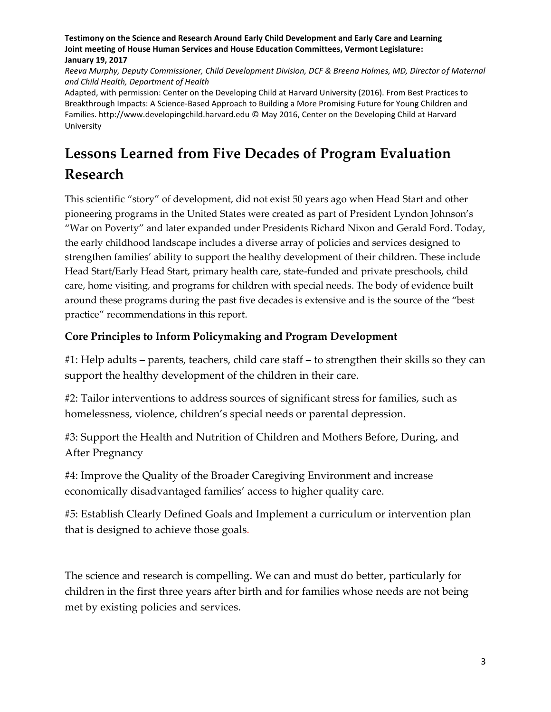*Reeva Murphy, Deputy Commissioner, Child Development Division, DCF & Breena Holmes, MD, Director of Maternal and Child Health, Department of Health*

Adapted, with permission: Center on the Developing Child at Harvard University (2016). From Best Practices to Breakthrough Impacts: A Science-Based Approach to Building a More Promising Future for Young Children and Families. http://www.developingchild.harvard.edu © May 2016, Center on the Developing Child at Harvard University

# **Lessons Learned from Five Decades of Program Evaluation Research**

This scientific "story" of development, did not exist 50 years ago when Head Start and other pioneering programs in the United States were created as part of President Lyndon Johnson's "War on Poverty" and later expanded under Presidents Richard Nixon and Gerald Ford. Today, the early childhood landscape includes a diverse array of policies and services designed to strengthen families' ability to support the healthy development of their children. These include Head Start/Early Head Start, primary health care, state-funded and private preschools, child care, home visiting, and programs for children with special needs. The body of evidence built around these programs during the past five decades is extensive and is the source of the "best practice" recommendations in this report.

### **Core Principles to Inform Policymaking and Program Development**

#1: Help adults – parents, teachers, child care staff – to strengthen their skills so they can support the healthy development of the children in their care.

#2: Tailor interventions to address sources of significant stress for families, such as homelessness, violence, children's special needs or parental depression.

#3: Support the Health and Nutrition of Children and Mothers Before, During, and After Pregnancy

#4: Improve the Quality of the Broader Caregiving Environment and increase economically disadvantaged families' access to higher quality care.

#5: Establish Clearly Defined Goals and Implement a curriculum or intervention plan that is designed to achieve those goals*.*

The science and research is compelling. We can and must do better, particularly for children in the first three years after birth and for families whose needs are not being met by existing policies and services.